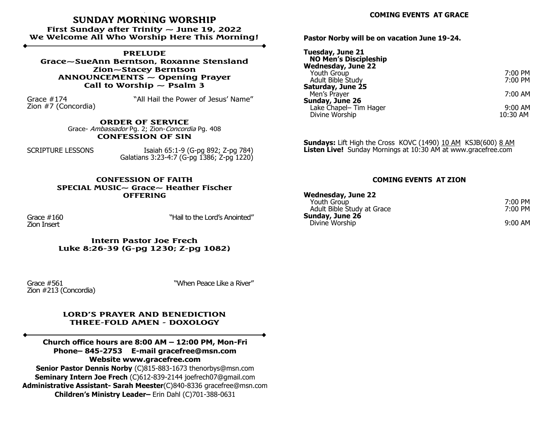# **SUNDAY MORNING WORSHIP**

**First Sunday after Trinity ~ June 19, 2022 We Welcome All Who Worship Here This Morning!**

**PRELUDE Grace~SueAnn Berntson, Roxanne Stensland Zion~Stacey Berntson ANNOUNCEMENTS ~ Opening Prayer** Call to Worship  $\sim$  Psalm 3

Zion #7 (Concordia)

Grace #174 "All Hail the Power of Jesus' Name"

**ORDER OF SERVICE**  Grace- Ambassador Pg. 2; Zion-Concordia Pg. 408 **CONFESSION OF SIN**

SCRIPTURE LESSONS Isaiah 65:1-9 (G-pg 892; Z-pg 784) Galatians 3:23-4:7 (G-pg 1386; Z-pg 1220)

#### **CONFESSION OF FAITH SPECIAL MUSIC~ Grace~ Heather Fischer OFFERING**

Zion Insert

Grace #160 "Hail to the Lord's Anointed"

**Intern Pastor Joe Frech Luke 8:26-39 (G-pg 1230; Z-pg 1082)**

Zion #213 (Concordia)

Grace #561 "When Peace Like a River"

#### **LORD'S PRAYER AND BENEDICTION THREE-FOLD AMEN - DOXOLOGY**

**Church office hours are 8:00 AM – 12:00 PM, Mon-Fri Phone– 845-2753 E-mail gracefree@msn.com Website www.gracefree.com**

**Senior Pastor Dennis Norby** (C)815-883-1673 thenorbys@msn.com **Seminary Intern Joe Frech** (C)612-839-2144 joefrech07@gmail.com **Administrative Assistant- Sarah Meester**(C)840-8336 gracefree@msn.com **Children's Ministry Leader–** Erin Dahl (C)701-388-0631

### **COMING EVENTS AT GRACE**

**Pastor Norby will be on vacation June 19-24.**

| Tuesday, June 21<br><b>NO Men's Discipleship</b><br>Wednesday, June 22 |                     |
|------------------------------------------------------------------------|---------------------|
| Youth Group<br>Adult Bible Study                                       | 7:00 PM<br>7:00 PM  |
| Saturday, June 25<br>Men's Prayer                                      | 7:00 AM             |
| Sunday, June 26<br>Lake Chapel- Tim Hager<br>Divine Worship            | 9:00 AM<br>10:30 AM |

**Sundays:** Lift High the Cross KOVC (1490) 10 AM KSJB(600) 8 AM **Listen Live!** Sunday Mornings at 10:30 AM at www.gracefree.com

## **COMING EVENTS AT ZION**

| <b>Wednesday, June 22</b>  |                     |
|----------------------------|---------------------|
| Youth Group                | 7:00 PM             |
| Adult Bible Study at Grace | 7:00 PM             |
| Sunday, June 26            |                     |
| Divine Worship             | $9:00 \, \text{AM}$ |